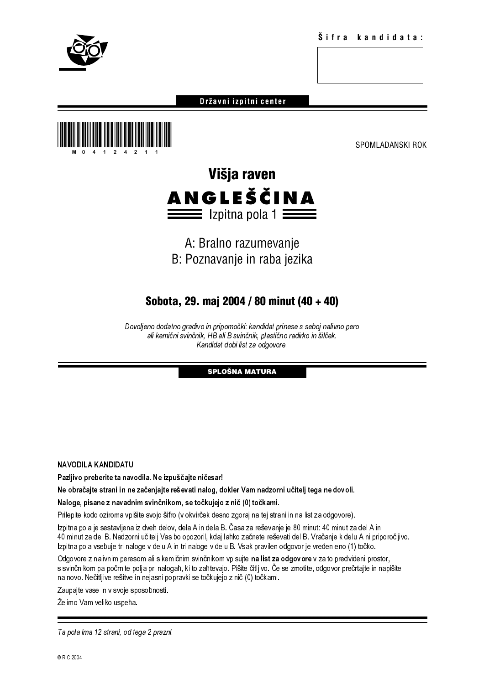

### Državni izpitni center



# Višja raven **ANGLEŠČINA**<br>== Izpitna pola 1

### A: Bralno razumevanje B: Poznavanje in raba jezika

### Sobota, 29. maj 2004 / 80 minut (40 + 40)

Dovoljeno dodatno gradivo in pripomočki: kandidat prinese s seboj nalivno pero ali kemični svinčnik, HB ali B svinčnik, plastično radirko in šilček. Kandidat dobi list za odgovore.

### SPLOŠNA MATURA

NAVODILA KANDIDATU

Pazljivo preberite ta navodila. Ne izpuščajte ničesar!

Ne obračajte strani in ne začenjajte reševati nalog, dokler Vam nadzorni učitelj tega ne dovoli.

Naloge, pisane z navadnim svinčnikom, se točkujejo z nič (0) točkami.

Prilepite kodo oziroma vpišite svojo šifro (v okvirček desno zgoraj na tej strani in na list za odgovore).

Izpitna pola je sestavljena iz dveh delov, dela A in dela B. Časa za reševanje je 80 minut: 40 minut za del A in 40 minut za del B. Nadzorni učitelj Vas bo opozoril, kdaj lahko začnete reševati del B. Vračanje k delu A ni priporočljivo. Izpitna pola vsebuje tri naloge v delu A in tri naloge v delu B. Vsak pravilen odgovor je vreden eno (1) točko.

over the mich in synchrik, HB alti B synchrik, plastično radirko in śilček.<br>
Kandidat dobi list za odgovore.<br>
SPLOSNA MATURA<br>
SPLOSNA MATURA<br>
In princhikom, se točkujejo z nič (0) točkami.<br>
In princhikom, se točkujejo z n Kandidat dobi list za odgovore.<br> **SPLOŠNA MATURA**<br> **SPLOŠNA MATURA**<br> **a. Ne izpuščajte ničesar!**<br>
evojo šfro (v okvirček desno zgoraj na tej strani in na list za odgoveh delov, dela A in dela B. Časa za reševanje je 80 min **SPLOŠNA MATURA**<br>
ničesar!<br>
nalog, dokler Vam nadzorni<br>
iočkujejo z nič (0) točkami.<br>
irček desno zgoraj na tej strani<br>
in dela B. Časa za reševanje j<br>
oril, kdaj lahko začnete reševa<br>
oge v delu B. Vsak pravilen od<br>
inčni Odgovore z nalivnim peresom ali s kemičnim svinčnikom vpisujte na list za odgovore v za to predvideni prostor, s svinčnikom pa počrnite polja pri nalogah, ki to zahtevajo. Pišite čitljivo. Če se zmotite, odgovor prečrtajte in napišite na novo. Nečitljive rešitve in nejasni popravki se točkujejo z nič (0) točkami.

Zaupajte vase in v svoje sposobnosti.

Želimo Vam veliko uspeha.

Ta pola ima 12 strani, od tega 2 prazni.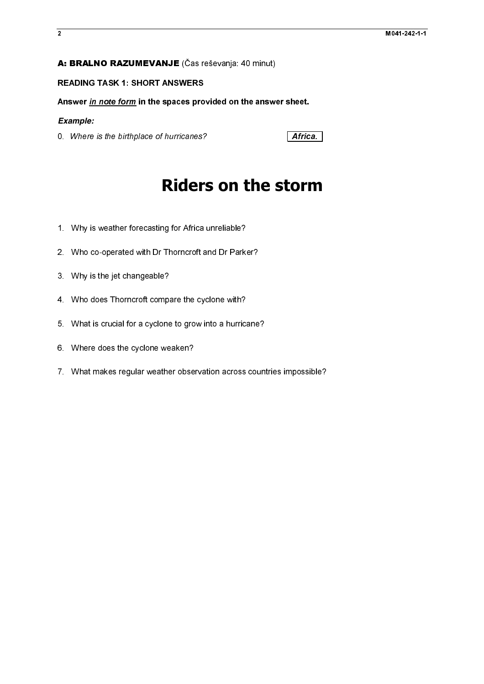# A: BRALNO RAZUMEVANJE (Čas reševanja: 40 minut)<br>READING TASK 1: SHORT ANSWERS<br>Answer in note form in the spaces provided on the answer<br>Example:<br>O. Where is the birthplace of hurricanes?<br>Now is the birthplace of hurricanes?

Market *in note form* in the spaces pro<br> **Example:**<br>
0. Where is the birthplace of hurricanes?<br> **Rider:**<br>
1. Why is weather forecasting for Africa<br>
2. Who co-operated with Dr Thorncroft a<br>
3. Why is the jet changeable?<br>
4. A  $\overline{A}$  control  $\overline{A}$  and  $\overline{A}$  and  $\overline{A}$  and  $\overline{A}$  and  $\overline{A}$  and  $\overline{A}$  and  $\overline{A}$  and  $\overline{A}$  and  $\overline{A}$  and  $\overline{A}$  and  $\overline{A}$  and  $\overline{A}$  and  $\overline{A}$  and  $\overline{A}$  and  $\overline{A}$  and  $\overline{A}$ 

### *Example:*

# Answer <u>in note form</u> in the spaces provided on the answer sheet.<br>
Example:<br>
O. Where is the birthplace of hurricanes?<br> **Riders on the storm**<br>
1. Why is weather forecasting for Africa unreliable?<br>
2. Who co-operated with D 0. Where is the birthplace of hurricanes?<br> **Riders on the storm**<br>
1. Why is weather forecasting for Africa unreliable?<br>
2. Who co-operated with Dr Thomcroft and Dr Parker?<br>
3. Why is the jet changeable?<br>
4. Who does Thomcr Riders on the storm

- 1. Why is weather forecasting for Africa unreliable?
- 2. Who co-operated with Dr Thorncroft and Dr Parker?
- $\frac{1}{2}$   $\frac{1}{2}$   $\frac{1}{2}$   $\frac{1}{2}$   $\frac{1}{2}$   $\frac{1}{2}$   $\frac{1}{2}$   $\frac{1}{2}$   $\frac{1}{2}$   $\frac{1}{2}$   $\frac{1}{2}$   $\frac{1}{2}$   $\frac{1}{2}$   $\frac{1}{2}$   $\frac{1}{2}$   $\frac{1}{2}$   $\frac{1}{2}$   $\frac{1}{2}$   $\frac{1}{2}$   $\frac{1}{2}$   $\frac{1}{2}$   $\frac{1}{2}$  3. Why is the jet changeable?
- 4. Who does Thorncroft compare the cyclone with?
- 5. What is crucial for a cyclone to grow into a hurricane?
- 6. Where does the cyclone weaken?
- 7. What makes regular weather observation across countries impossible?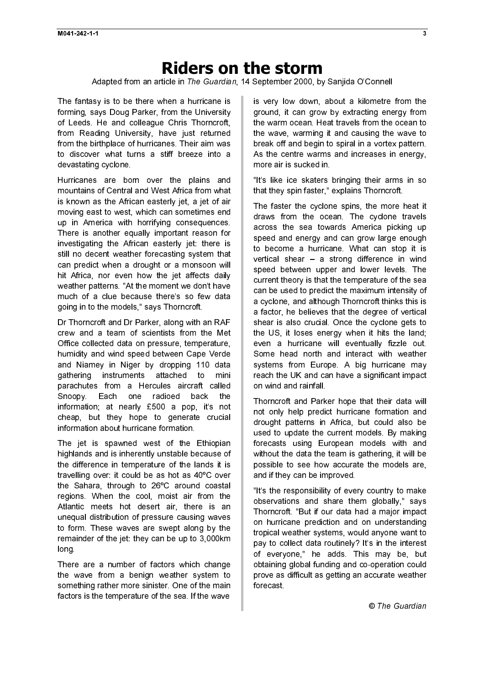# Riders on the storm

Adapted from an article in The Guardian, 14 September 2000, by Sanjida O'Connell 

The fantasy is to be there when a hurricane is forming, says Doug Parker, from the University of Leeds. He and colleague Chris Thorncroft, from Reading University, have just returned from the birthplace of hurricanes. Their aim was to discover what turns a stiff breeze into a devastating cyclone.

Hurricanes are born over the plains and mountains of Central and West Africa from what is known as the African easterly jet, a jet of air moving east to west, which can sometimes end up in America with horrifying consequences. There is another equally important reason for investigating the African easterly jet: there is still no decent weather forecasting system that can predict when a drought or a monsoon will hit Africa, nor even how the jet affects daily weather patterns. "At the moment we don't have much of a clue because there's so few data going in to the models," says Thorncroft.

Dr Thorncroft and Dr Parker, along with an RAF crew and a team of scientists from the Met Office collected data on pressure, temperature, humidity and wind speed between Cape Verde and Niamey in Niger by dropping 110 data gathering instruments attached to mini parachutes from a Hercules aircraft called Snoopy. Each one radioed back the information; at nearly £500 a pop, it's not cheap, but they hope to generate crucial information about hurricane formation.

The jet is spawned west of the Ethiopian highlands and is inherently unstable because of the difference in temperature of the lands it is travelling over: it could be as hot as 40ºC over the Sahara, through to 26ºC around coastal regions. When the cool, moist air from the Atlantic meets hot desert air, there is an unequal distribution of pressure causing waves to form. These waves are swept along by the remainder of the jet: they can be up to 3,000km long.

There are a number of factors which change the wave from a benign weather system to something rather more sinister. One of the main factors is the temperature of the sea. If the wave is very low down, about a kilometre from the ground, it can grow by extracting energy from the warm ocean. Heat travels from the ocean to the wave, warming it and causing the wave to break off and begin to spiral in a vortex pattern. As the centre warms and increases in energy, more air is sucked in.

"It's like ice skaters bringing their arms in so that they spin faster," explains Thorncroft.

The faster the cyclone spins, the more heat it draws from the ocean. The cyclone travels across the sea towards America picking up speed and energy and can grow large enough to become a hurricane. What can stop it is vertical shear – a strong difference in wind speed between upper and lower levels. The current theory is that the temperature of the sea can be used to predict the maximum intensity of a cyclone, and although Thorncroft thinks this is a factor, he believes that the degree of vertical shear is also crucial. Once the cyclone gets to the US, it loses energy when it hits the land; even a hurricane will eventually fizzle out. Some head north and interact with weather systems from Europe. A big hurricane may reach the UK and can have a significant impact on wind and rainfall.

Thorncroft and Parker hope that their data will not only help predict hurricane formation and drought patterns in Africa, but could also be used to update the current models. By making forecasts using European models with and without the data the team is gathering, it will be possible to see how accurate the models are, and if they can be improved.

"It's the responsibility of every country to make observations and share them globally," says Thorncroft. "But if our data had a major impact on hurricane prediction and on understanding tropical weather systems, would anyone want to pay to collect data routinely? It's in the interest of everyone," he adds. This may be, but obtaining global funding and co-operation could prove as difficult as getting an accurate weather forecast.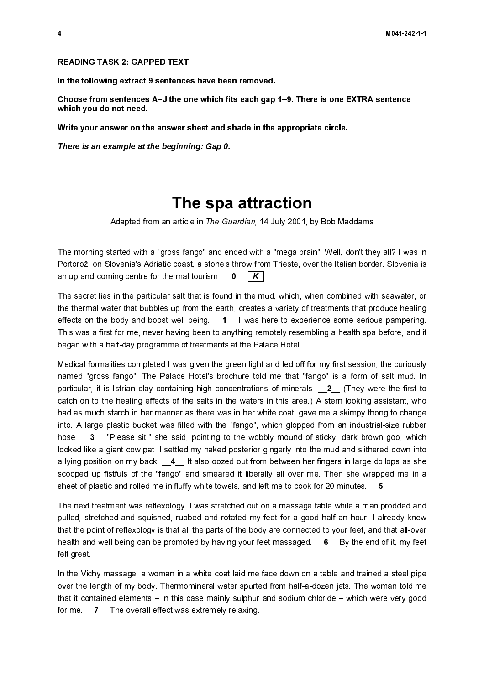### READING TASK 2: GAPPED TEXT

In the following extract 9 sentences have been removed.

Choose from sentences A–J the one which fits each gap 1–9. There is one EXTRA sentence which you do not need.

Write your answer on the answer sheet and shade in the appropriate circle.

There is an example at the beginning: Gap 0.

### The spa attraction

Adapted from an article in The Guardian, 14 July 2001, by Bob Maddams

The morning started with a "gross fango" and ended with a "mega brain". Well, don't they all? I was in Portorož, on Slovenia's Adriatic coast, a stone's throw from Trieste, over the Italian border. Slovenia is an up-and-coming centre for thermal tourism.  $\boxed{0}$  | K |

The secret lies in the particular salt that is found in the mud, which, when combined with seawater, or the thermal water that bubbles up from the earth, creates a variety of treatments that produce healing effects on the body and boost well being.  $\boxed{1}$  I was here to experience some serious pampering. This was a first for me, never having been to anything remotely resembling a health spa before, and it began with a half-day programme of treatments at the Palace Hotel.

There is an example at the beginning: Gap 0.<br>
The morning started with a "gross fango" and en<br>
Portorož, on Slovenia's Adriatic coast, a stone's<br>
an up-and-coming centre for thermal tourism. ....<br>
The secret lies in the p an up-and-coming centre for thermal tourism.  $\underline{\phantom{0}}\_E$ <br>The secret lies in the particular salt that is found in the m<br>the thermal water that bubbles up from the earth, creates<br>effects on the body and boost well being. Medical formalities completed I was given the green light and led off for my first session, the curiously named "gross fango". The Palace Hotel's brochure told me that "fango" is a form of salt mud. In particular, it is Istrian clay containing high concentrations of minerals. \_\_2\_\_ (They were the first to catch on to the healing effects of the salts in the waters in this area.) A stern looking assistant, who had as much starch in her manner as there was in her white coat, gave me a skimpy thong to change into. A large plastic bucket was filled with the "fango", which glopped from an industrial-size rubber hose. \_\_3\_\_ "Please sit," she said, pointing to the wobbly mound of sticky, dark brown goo, which looked like a giant cow pat. I settled my naked posterior gingerly into the mud and slithered down into a lying position on my back. 4 It also oozed out from between her fingers in large dollops as she scooped up fistfuls of the "fango" and smeared it liberally all over me. Then she wrapped me in a sheet of plastic and rolled me in fluffy white towels, and left me to cook for 20 minutes. \_\_5\_\_

The next treatment was reflexology. I was stretched out on a massage table while a man prodded and pulled, stretched and squished, rubbed and rotated my feet for a good half an hour. I already knew that the point of reflexology is that all the parts of the body are connected to your feet, and that all-over health and well being can be promoted by having your feet massaged. \_\_6\_\_ By the end of it, my feet felt great.

In the Vichy massage, a woman in a white coat laid me face down on a table and trained a steel pipe over the length of my body. Thermomineral water spurted from half-a-dozen jets. The woman told me that it contained elements – in this case mainly sulphur and sodium chloride – which were very good for me.  $\boxed{7}$  The overall effect was extremely relaxing.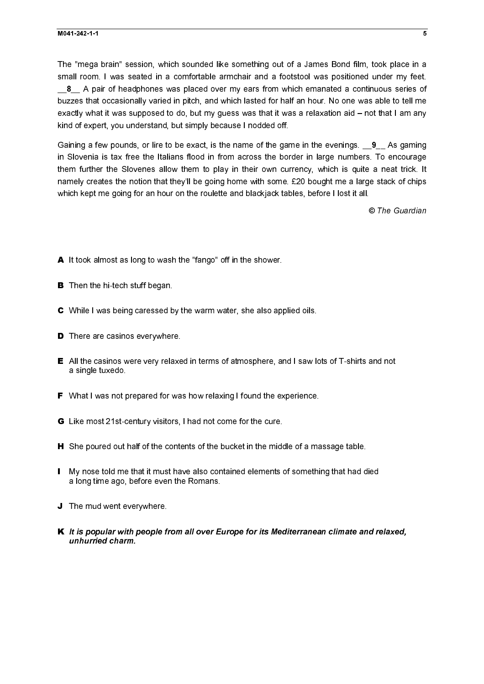The "mega brain" session, which sounded like something out of a James Bond film, took place in a small room. I was seated in a comfortable armchair and a footstool was positioned under my feet.  $8$ <sub>\_</sub> A pair of headphones was placed over my ears from which emanated a continuous series of buzzes that occasionally varied in pitch, and which lasted for half an hour. No one was able to tell me exactly what it was supposed to do, but my guess was that it was a relaxation aid – not that I am any kind of expert, you understand, but simply because I nodded off.

Gaining a few pounds, or lire to be exact, is the name of the game in the evenings. **9** As gaming in Slovenia is tax free the Italians flood in from across the border in large numbers. To encourage them further the Slovenes allow them to play in their own currency, which is quite a neat trick. It namely creates the notion that they'll be going home with some. £20 bought me a large stack of chips which kept me going for an hour on the roulette and blackjack tables, before I lost it all.

© The Guardian

- 
- 
- 
- 
- A It took almost as long to wash the "fango" off in the shower.<br>
B Then the hi-tech stuff began.<br>
C While I was being caressed by the warm water, she also app<br>
D There are casinos everywhere.<br>
E All the casinos were very r B Then the hi-tech stuff began.<br>
C While I was being caressed b<br>
D There are casinos everywher<br>
E All the casinos were very rela<br>
a single tuxedo.<br>
F What I was not prepared for v<br>
G Like most 21st-century visitor<br>
H She p C While I was being caressed by the warm water, she also applied oils.<br>
D There are casinos everywhere.<br>
E All the casinos were very relaxed in terms of atmosphere, and I saw Ic<br>
a single tuxedo.<br>
F What I was not prepared D There are casinos everywhere.<br>
E All the casinos were very relaxe<br>
a single tuxedo.<br>
F What I was not prepared for wa:<br>
G Like most 21st-century visitors,<br>
H She poured out half of the conte<br>
I My nose told me that it mu a single tuxedo.
- 
- 
- 
- F What I was not prepared for was how relaxing I found the experience.<br>
G Like most 21st-century visitors, I had not come for the cure.<br>
H She poured out half of the contents of the bucket in the middle of a ma<br>
I My nose G Like most 21st-century visitors, I had not come for the cure.<br>
H She poured out half of the contents of the bucket in the middelical My nose told me that it must have also contained elements of along time ago, before eve H She poured out half of the contents of the bucket in the middle of a massage table.<br>
I My nose told me that it must have also contained elements of something that had d<br>
a long time ago, before even the Romans.<br>
J The mu a long time ago, before even the Romans.
- 
- E All the casinos were very relaxed in terms of atmosphere, and I saw lots of T-shirts and not<br>a single tuxedo.<br>F What I was not prepared for was how relaxing I found the experience.<br>G Like most 21st-century visitors, I ha I My nose told me that it must have also contained elements of something that had died<br>a long time ago, before even the Romans.<br>J The mud went everywhere.<br>K It is popular with people from all over Europe for its Mediterran J The mud went everywhere.<br>K It is popular with people from the unhurried charm. K It's popular with people from all over Europe for its Mediterranean climate and relaxed,<br>unhurried charm. unhurried charm.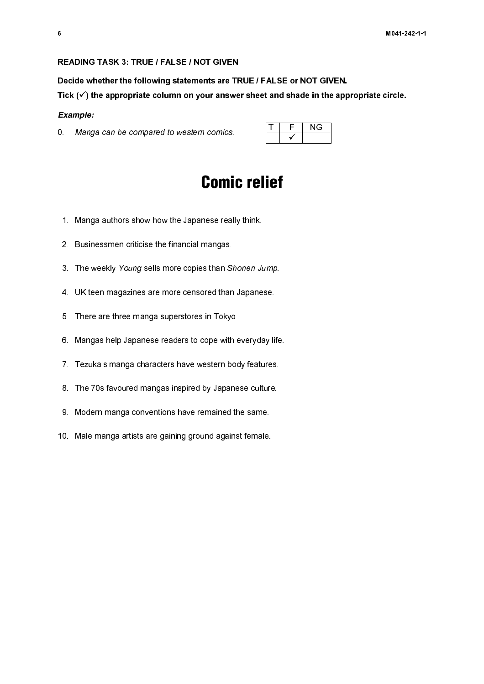### READING TASK 3: TRUE / FALSE / NOT GIVEN

Decide whether the following statements are TRUE / FALSE or NOT GIVEN.

Tick  $(\checkmark)$  the appropriate column on your answer sheet and shade in the appropriate circle.

### *Example:*

 $\overline{0}$ . Manga can be compared to western comics.

|  | - |
|--|---|
|  |   |

# Comic relief

- 1. Manga authors show how the Japanese really think.
- 2. Businessmen criticise the financial mangas.
- 0. Manga can be compared to western commos.<br>
Commic relief<br>
1. Manga authors show how the Japanese really think.<br>
2. Businessmen criticise the financial mangas.<br>
3. The weekly Young sells more consored than Japanese.<br>
4. U 3. The weekly Young sells more copies than Shonen Jump.
- 4. UK teen magazines are more censored than Japanese.
- 5. There are three manga superstores in Tokyo.
- 3. UK teen magazines are more censored than Japanese.<br>5. There are three manga superstores in Tokyo.<br>6. Mangas help Japanese readers to cope with everyday life<br>7. Tezuka's manga characters have western body features.<br>8. Th 6. Mangas help Japanese readers to cope with everyday life.
- 7. Tezuka's manga characters have western body features.
- 8. The 70s favoured mangas inspired by Japanese culture.
- 9. Modern manga conventions have remained the same.
- 2. Businessmen criticise the financial mangas.<br>
3. The weekly Young sells more copies than *Shonen Ju*<br>
4. UK teen magazines are more censored than Japane<br>
5. There are three manga superstores in Tokyo.<br>
6. Mangas help Jap 2. The weekly Young sells more copies than SI<br>2. UK teen magazines are more censored than<br>3. There are three manga superstores in Tokyc<br>3. There are three manga superstores in Tokyc<br>3. The 70s favoured mangas inspired by J 4. There are three manga superstores in Tokyo.<br>6. Mangas help Japanese readers to cope with everyday li<br>7. Tezuka's manga characters have western body features<br>8. The 70s favoured mangas inspired by Japanese culture.<br>9. Mo 5. Mangas help Japanese readers to cope with e<br>7. Tezuka's manga characters have western bod<br>8. The 70s favoured mangas inspired by Japane<br>9. Modern manga conventions have remained th<br>10. Male manga artists are gaining gro Figure 1. The TOs favoured mangas inspired by Japanese culture.<br>
6. The 70s favoured mangas inspired by Japanese culture.<br>
9. Modern manga conventions have remained the same.<br>
10. Male manga artists are gaining ground agai 7. Tezuka's manga characters have western body features.<br>8. The 70s favoured mangas inspired by Japanese culture.<br>9. Modern manga conventions have remained the same.<br>10. Male manga artists are gaining ground against female 9. Modern manga conventions have remained the same.<br>10. Male manga artists are gaining ground against female. 9. Male manga artists are gaining ground against female.<br>10. Male manga artists are gaining ground against female. 10. Male manga artists are gaining ground against female. 10. Male manga artists are gaining ground against female.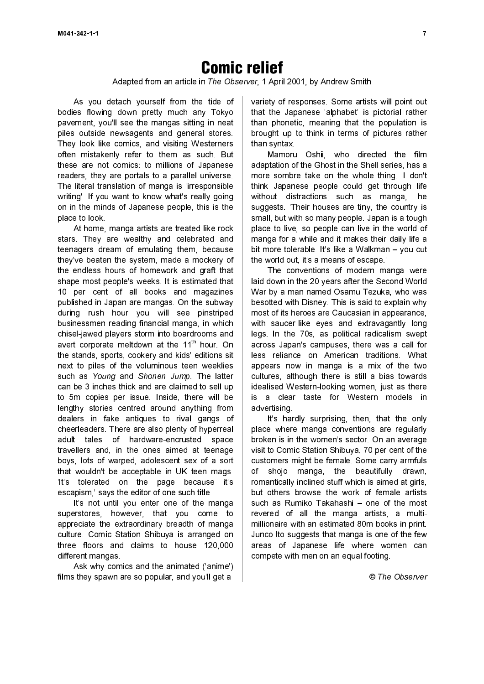## Comic relief

Adapted from an article in The Observer, 1 April 2001, by Andrew Smith

As you detach yourself from the tide of bodies flowing down pretty much any Tokyo pavement, you'll see the mangas sitting in neat piles outside newsagents and general stores. They look like comics, and visiting Westerners often mistakenly refer to them as such. But these are not comics: to millions of Japanese readers, they are portals to a parallel universe. The literal translation of manga is 'irresponsible writing'. If you want to know what's really going on in the minds of Japanese people, this is the place to look.

Adapted from an article in The Observer, 1 April 2001, by Andrew Smith<br>Hash down pretty much any Tokyo Inta the Japanese "a phats the studies" of responses "some artist" and set the material set of the material set of the At home, manga artists are treated like rock stars. They are wealthy and celebrated and teenagers dream of emulating them, because they've beaten the system, made a mockery of the endless hours of homework and graft that shape most people's weeks. It is estimated that 10 per cent of all books and magazines published in Japan are mangas. On the subway during rush hour you will see pinstriped businessmen reading financial manga, in which chisel-jawed players storm into boardrooms and avert corporate meltdown at the 11<sup>th</sup> hour. On the stands, sports, cookery and kids' editions sit next to piles of the voluminous teen weeklies such as Young and Shonen Jump. The latter such as *Young* and *Shonen Jump*. The latter<br>can be 3 inches thick and are claimed to sell up<br>to 5m copies per issue. Inside, there will be<br>lengthy stories centred around anything from<br>dealers in fake antiques to rival ga can be 3 inches thick and are claimed to sell up to 5m copies per issue. Inside, there will be lengthy stories centred around anything from dealers in fake antiques to rival gangs of cheerleaders. There are also plenty of hyperreal adult tales of hardware-encrusted space travellers and, in the ones aimed at teenage boys, lots of warped, adolescent sex of a sort that wouldn't be acceptable in UK teen mags. 'It's tolerated on the page because it's escapism,' says the editor of one such title.

It's not until you enter one of the manga superstores, however, that you come to appreciate the extraordinary breadth of manga culture. Comic Station Shibuya is arranged on three floors and claims to house 120,000 different mangas.

Ask why comics and the animated ('anime') films they spawn are so popular, and you'll get a

variety of responses. Some artists will point out that the Japanese 'alphabet' is pictorial rather than phonetic, meaning that the population is brought up to think in terms of pictures rather than syntax.

Mamoru Oshii, who directed the film adaptation of the Ghost in the Shell series, has a more sombre take on the whole thing. 'I don't think Japanese people could get through life without distractions such as manga,' he suggests. 'Their houses are tiny, the country is small, but with so many people. Japan is a tough place to live, so people can live in the world of manga for a while and it makes their daily life a bit more tolerable. It's like a Walkman – you cut the world out, it's a means of escape.'

The conventions of modern manga were laid down in the 20 years after the Second World War by a man named Osamu Tezuka, who was besotted with Disney. This is said to explain why most of its heroes are Caucasian in appearance, with saucer-like eyes and extravagantly long legs. In the 70s, as political radicalism swept across Japan's campuses, there was a call for less reliance on American traditions. What appears now in manga is a mix of the two cultures, although there is still a bias towards idealised Western-looking women, just as there is a clear taste for Western models in advertising.

It's hardly surprising, then, that the only place where manga conventions are regularly broken is in the women's sector. On an average visit to Comic Station Shibuya, 70 per cent of the customers might be female. Some carry armfuls of shojo manga, the beautifully drawn, romantically inclined stuff which is aimed at girls, but others browse the work of female artists such as Rumiko Takahashi – one of the most revered of all the manga artists, a multimillionaire with an estimated 80m books in print. Junco Ito suggests that manga is one of the few areas of Japanese life where women can compete with men on an equal footing.

> © The Observer © The Observer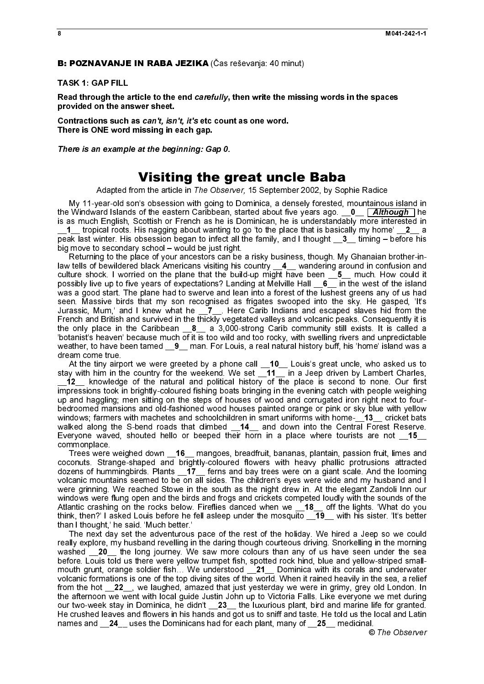### TASK 1: GAP FILL

Read through the article to the end carefully, then write the missing words in the spaces provided on the answer sheet.

Contractions such as can't, isn't, it's etc count as one word. There is ONE word missing in each gap.

There is an example at the beginning: Gap 0.

Adapted from the article in The Observer, 15 September 2002, by Sophie Radice

My 11-year-old son's obsession with going to Dominica, a densely forested, mountainous island in the Windward Islands of the eastern Caribbean, started about five years ago. \_\_0\_\_ Although he is as much English, Scottish or French as he is Dominican, he is understandably more interested in \_**1**\_\_ tropical roots. His nagging about wanting to go 'to the place that is basically my home' \_\_**2**\_\_ a peak last winter. His obsession began to infect all the family, and I thought  $\cdot$  3  $\cdot$  timing – before his big move to secondary school – would be just right.

**E: POZNAVANJE IN RABA JEZIKA** (Čas reševanja: 40 minut)<br>TASK 1: GAP FILL<br>
Read through the antive to the end *carefully*, then write the miss<br>
Read through the antive such as a car, then the specified on the antive such a Returning to the place of your ancestors can be a risky business, though. My Ghanaian brother-inlaw tells of bewildered black Americans visiting his country  $\underline{\phantom{a}}4\underline{\phantom{a}}$  wandering around in confusion and culture shock. I worried on the plane that the build-up might have been \_\_**5\_**\_ much. How could it possibly live up to five years of expectations? Landing at Melville Hall \_\_6\_\_ in the west of the island was a good start. The plane had to swerve and lean into a forest of the lushest greens any of us had seen. Massive birds that my son recognised as frigates swooped into the sky. He gasped, 'It's Jurassic, Mum,' and I knew what he \_\_**7**\_\_. Here Carib Indians and escaped slaves hid from the French and British and survived in the thickly vegetated valleys and volcanic peaks. Consequently it is the only place in the Caribbean \_\_**8**\_\_ a 3,000-strong Carib community still exists. It is called a 'botanist's heaven' because much of it is too wild and too rocky, with swelling rivers and unpredictable weather, to have been tamed \_\_9\_\_ man. For Louis, a real natural history buff, his 'home' island was a dream come true.

At the tiny airport we were greeted by a phone call  $\_\,\,$  10 $\_\,\,\,$  Louis's great uncle, who asked us to stay with him in the country for the weekend. We set \_\_**11**\_\_ in a Jeep driven by Lambert Charles,

 $\_$ 12 $\_$  knowledge of the natural and political history of the place is second to none. Our first impressions took in brightly-coloured fishing boats bringing in the evening catch with people weighing up and haggling; men sitting on the steps of houses of wood and corrugated iron right next to fourbedroomed mansions and old-fashioned wood houses painted orange or pink or sky blue with yellow windows; farmers with machetes and schoolchildren in smart uniforms with home-\_\_13\_\_ cricket bats walked along the S-bend roads that climbed \_\_14\_\_ and down into the Central Forest Reserve. Everyone waved, shouted hello or beeped their horn in a place where tourists are not  $\overline{\phantom{a}}$  15 commonplace.

Trees were weighed down 16 mangoes, breadfruit, bananas, plantain, passion fruit, limes and coconuts. Strange-shaped and brightly-coloured flowers with heavy phallic protrusions attracted dozens of hummingbirds. Plants \_17\_ ferns and bay trees were on a giant scale. And the looming volcanic mountains seemed to be on all sides. The children's eyes were wide and my husband and I were grinning. We reached Stowe in the south as the night drew in. At the elegant Zandoli Inn our windows were flung open and the birds and frogs and crickets competed loudly with the sounds of the Atlantic crashing on the rocks below. Fireflies danced when we \_\_**18**\_\_ off the lights. 'What do you think, then?' I asked Louis before he fell asleep under the mosquito \_\_**19\_\_** with his sister. 'It's better than I thought,' he said. 'Much better.'

The next day set the adventurous pace of the rest of the holiday. We hired a Jeep so we could really explore, my husband revelling in the daring though courteous driving. Snorkelling in the morning washed  $\_20\_$  the long journey. We saw more colours than any of us have seen under the sea before. Louis told us there were yellow trumpet fish, spotted rock hind, blue and yellow-striped smallmouth grunt, orange soldier fish… We understood \_\_**21**\_\_ Dominica with its corals and underwater volcanic formations is one of the top diving sites of the world. When it rained heavily in the sea, a relief from the hot \_\_**22\_**\_, we laughed, amazed that just yesterday we were in grimy, grey old London. In the afternoon we went with local guide Justin John up to Victoria Falls. Like everyone we met during our two-week stay in Dominica, he didn't \_**\_23**\_\_ the luxurious plant, bird and marine life for granted. He crushed leaves and flowers in his hands and got us to sniff and taste. He told us the local and Latin names and **\_\_24** uses the Dominicans had for each plant, many of **\_\_25** \_\_ medicinal.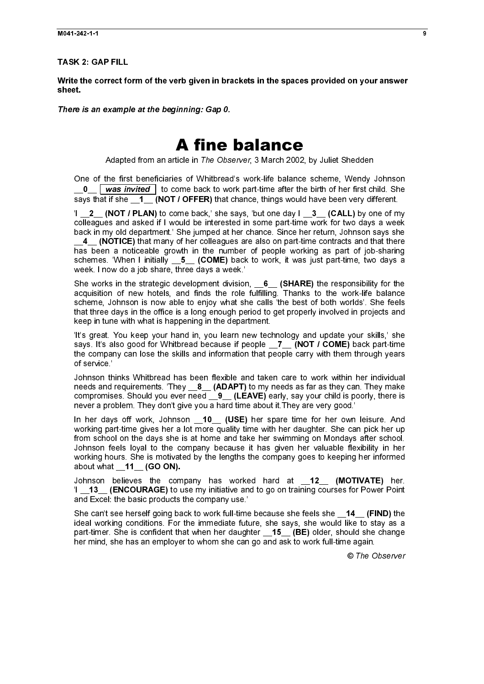TASK 2: GAP FILL

Write the correct form of the verb given in brackets in the spaces provided on your answer sheet.

There is an example at the beginning: Gap 0.

# A fine balance

Adapted from an article in The Observer, 3 March 2002, by Juliet Shedden

One of the first beneficiaries of Whitbread's work-life balance scheme, Wendy Johnson says that if she  $\overline{\phantom{a}}$  (NOT / OFFER) that chance, things would have been very different.

There is an example at the beginning: Gap 0.<br>  $\bigoplus$  Adapted from an article in The Obs<br>
One of the first beneficiaties of Whitterea.<br>  $\bigoplus$  Martist here  $\bigoplus$  to come back to word  $\bigoplus$  the  $\bigoplus$  there first be  $\bigoplus$ <u>\_0\_ was invited to</u> to come back to work part-time site the birth of her first child. She come back to work part-time come back to see a say. but one dependent to come back to see a such a come back to see a such a come 'I  $2$  (NOT / PLAN) to come back,' she says, 'but one day I  $3$  (CALL) by one of my colleagues and asked if I would be interested in some part-time work for two days a week back in my old department.' She jumped at her chance. Since her return, Johnson says she  $\_$ 4 $\_$  (NOTICE) that many of her colleagues are also on part-time contracts and that there has been a noticeable growth in the number of people working as part of job-sharing schemes. 'When I initially \_\_**5\_\_ (COME)** back to work, it was just part-time, two days a week. I now do a job share, three days a week.'

She works in the strategic development division, \_\_6\_\_ (SHARE) the responsibility for the acquisition of new hotels, and finds the role fulfilling. Thanks to the work-life balance scheme, Johnson is now able to enjoy what she calls 'the best of both worlds'. She feels that three days in the office is a long enough period to get properly involved in projects and keep in tune with what is happening in the department.

'It's great. You keep your hand in, you learn new technology and update your skills,' she says. It's also good for Whitbread because if people \_\_7\_\_ (NOT / COME) back part-time the company can lose the skills and information that people carry with them through years of service.'

Johnson thinks Whitbread has been flexible and taken care to work within her individual needs and requirements. 'They \_\_8\_\_ (ADAPT) to my needs as far as they can. They make compromises. Should you ever  $\overline{\mathsf{need}}\_9\_$  (LEAVE) early, say your child is poorly, there is never a problem. They don't give you a hard time about it.They are very good.'

In her days off work, Johnson \_\_10\_\_ (USE) her spare time for her own leisure. And working part-time gives her a lot more quality time with her daughter. She can pick her up from school on the days she is at home and take her swimming on Mondays after school. Johnson feels loyal to the company because it has given her valuable flexibility in her working hours. She is motivated by the lengths the company goes to keeping her informed about what **11** (GO ON).

Johnson believes the company has worked hard at \_ 12 (MOTIVATE) her. 'I 13 (ENCOURAGE) to use my initiative and to go on training courses for Power Point and Excel: the basic products the company use.'

She can't see herself going back to work full-time because she feels she **14** (FIND) the ideal working conditions. For the immediate future, she says, she would like to stay as a part-timer. She is confident that when her daughter  $\_\,\!\!\!15\_\,\!\!\!$  (BE) older, should she change her mind, she has an employer to whom she can go and ask to work full-time again.

© The Observer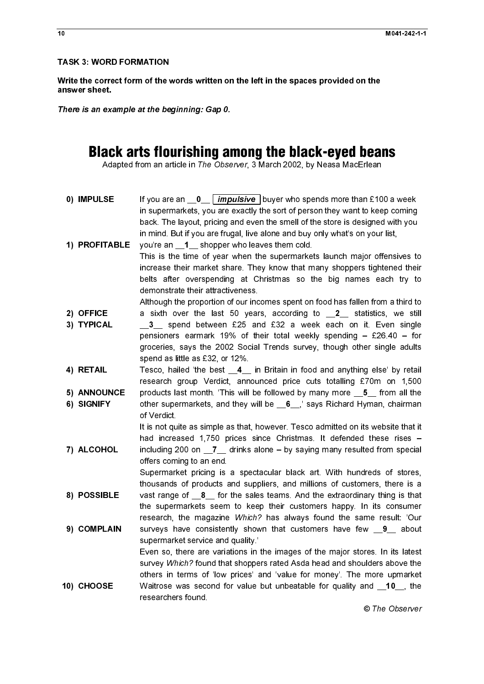### Black arts flourishing among the black-eyed beans

Adapted from an article in The Observer, 3 March 2002, by Neasa MacErlean

- in supermarkets, you are exactly the sort of person they want to keep coming back. The layout, pricing and even the smell of the store is designed with you in mind. But if you are frugal, live alone and buy only what's on your list,
- Write the correct form of the v<br>
Merite is an example at the be<br>
Black arts flo<br>
Adapted from an an<br>
0) IMPULSE If you are<br>
in superr<br>
back. The in superr<br>
back. The in mind.<br>
1) PROFITABLE you're are This is t<br>
locates<br>
l answer sheet.<br> **Black arts flourishing among the black-eyed bea**<br>
Maced from an article in The Observer. 3 Mach 2002, by Nessa MacErican<br>
(a) IMPULSE<br>
Maced from an article in The Observer. 3 Mach 2002, by Nessa MacErican There is an example and and analytical<br>
0) IMPULSE<br>
1) PROFITA<br>
2) OFFICE<br>
3) TYPICAL<br>
4) RETAIL<br>
5) ANNOUN<br>
6) SIGNIFY<br>
7) ALCOHO<br>
8) POSSIBL<br>
9) COMPLA **Black arts flourishing an**<br>Adapted from an article in *The Obse*<br>0) IMPULSE If you are an  $\frac{0}{2}$  in supermarkets, you are hack. The layout, pricing in mind. But if you are m<sub>l</sub> shopper an  $\frac{1}{2}$  work are fructions 1) PROFITAE<br>
2) OFFICE<br>
3) TYPICAL<br>
4) RETAIL<br>
5) ANNOUNC<br>
6) SIGNIFY<br>
7) ALCOHOL<br>
8) POSSIBLE<br>
9) COMPLAI 1) PROFITABLE<br>2) OFFICE<br>3) TYPICAL<br>4) RETAIL<br>5) ANNOUNCE<br>6) SIGNIFY<br>7) ALCOHOL<br>8) POSSIBLE<br>9) COMPLAIN<br>10) CHOOSE If you are an  $\Box$  <u>Impulsive</u> D buyer who spends more than £100 a week<br>in supermarkets, you are exactly the solid person they want to keep coming<br>back. The layout, pricing and even the smell of the stone is designed with you're an  $\_1$  shopper who leaves them cold.<br>This is the time of year when the supermarked bincrease their market share. They know that minicrease their market share. They know that mole allot demonstrate their attractiv This is the time of year when the supermarkets launch major offensives to increase their market share. They know that many shoppers tightened their belts after overspending at Christmas so the big names each try to demonstrate their attractiveness.

Although the proportion of our incomes spent on food has fallen from a third to

- pensioners earmark 19% of their total weekly spending – £26.40 – for groceries, says the 2002 Social Trends survey, though other single adults spend as little as £32, or 12%.
- 3) TYPICAL<br>4) RETAIL<br>6) ANNOUI<br>6) SIGNIFY<br>7) ALCOHC<br>8) POSSIBI<br>9) COMPLA 4) RETAIL<br>5) ANNOUN®<br>6) SIGNIFY<br>7) ALCOHOI<br>8) POSSIBLI<br>9) COMPLAI<br>10) CHOOSE 5) ANNOUI<br>6) SIGNIFY<br>7) ALCOH(<br>8) POSSIB<br>9) COMPL/<br>10) CHOOSI research group Verdict, announced price cuts totalling £70m on 1,500 of Verdict.

It is not quite as simple as that, however. Tesco admitted on its website that it had increased 1,750 prices since Christmas. It defended these rises – offers coming to an end.

a sixth over the last 50 years, according to  $\frac{2}{2}$  statistics, we still and  $\frac{3}{2}$  spend between £25 and £32 a week each on it. Even single pensioners earmark 19% of their total weekly spending  $-$  £26.40 – for spe **3**\_ spend between £25 and £32 a week each on it. Even single<br>passiones sammark 19% of their total weekly spending – £26.40 – for<br>groceries, says the 2002 Social Trends survey, though other single adults<br>spend as little Tesco, hailed 'the best  $-4$ \_ in Britain in food and anything else' by retail<br>research group Verdict, announced price cuts totalling  $\bar{x}$  on n 1,500<br>products last month. This will be followed by many more  $-5$  from all products last month. This will be followed by many more  $\underline{.5}$  from all the<br>of Verdict.<br>of Verdict.<br>It is not quite as simple as that, however. Tesco admitted on its website that it<br>left of producting 200 on  $-\underline{T}$  dri other supermarkets, and they will be  $\_6$ , 'says Richard Hyman, chairman<br>of Verdict.<br>It is not quite as simple as that, however. Tesco admitted on its website that it<br>had increased 1,750 prices since Christmas. It defend including 200 on  $\_7$  drinks alone – by saying many resulted from special<br>offers coming to an end.<br>Supermarket pricing is a spectacular black art. With hundreds of stores,<br>thousands of products and suppliers, and million Supermarket pricing is a spectacular black art. With hundreds of stores, thousands of products and suppliers, and millions of customers, there is a the supermarkets seem to keep their customers happy. In its consumer

5) SIGNIFY<br>
5) ALCOHOL<br>
5) POSSIBLE<br>
5) COMPLAIN<br>
5) CHOOSE 7) ALCOHO<br>8) POSSIBL<br>9) COMPLA<br>10) CHOOSE 8) POSSIBLE<br>9) COMPLAIN<br>10) CHOOSE 9) COMPLAIN<br>10) CHOOSE<br>T research, the magazine *Which?* has always found the same result: 'Our<br>surveys have consistently shown that customers have few <u>9</u>\_ about supermarket service and quality.'

vast range of  $\underline{\hspace{0.8cm}}8$  for the sales teams. And the extraordinary thing is that<br>the supermarkets seem to keep their customers happy. In its consumer<br>research, the magazine *Which?* has always found the same result: surveys have consistently shown that customers have few  $\_9$  about<br>supermarket service and quality.'<br>Even so, there are variations in the images of the major stores. In its latest<br>survey Which? found that shoppers rated )<br>10) CHOOSE<br>D Even so, there are variations in the images of the major stores. In its latest survey Which? found that shoppers rated Asda head and shoulders above the others in terms of 'low prices' and 'value for money'. The more upmarket 10) CHOOSE Waitrose was second for value but unbeatable for quality and **\_\_10\_\_**, the researchers found.  $\bullet$  *The Observer* 11) CHOOSE<br>10) CHOOSE<br>10) CHOOSE researchers found.

© The Observer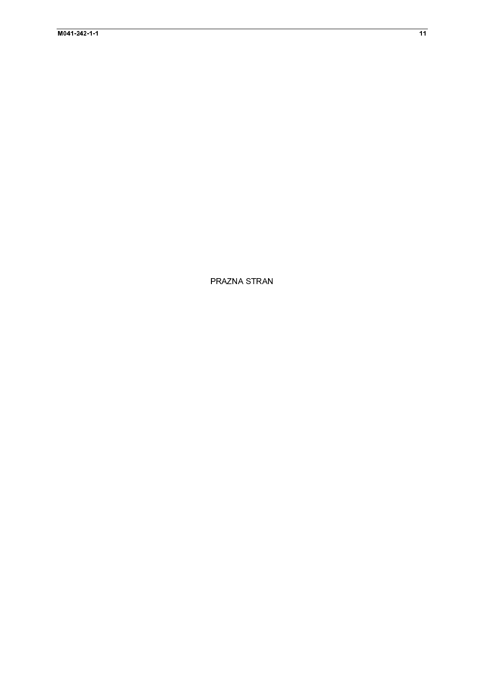PRAZNA STRAN